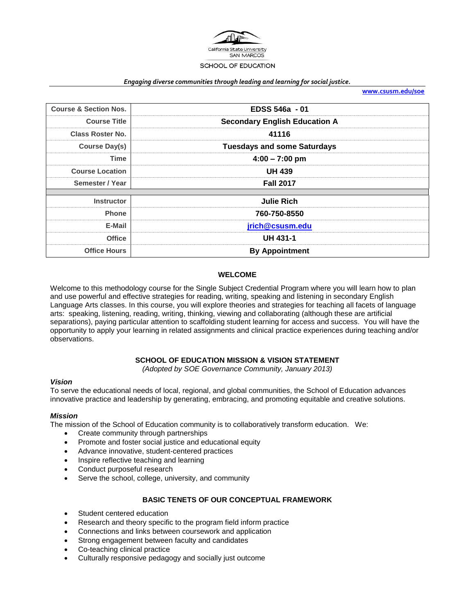

#### *Engaging diverse communities through leading and learning for social justice.*

**[www.csusm.edu/soe](http://www.csusm.edu/soe)**

| <b>Course &amp; Section Nos.</b> | EDSS 546a - 01                       |  |  |
|----------------------------------|--------------------------------------|--|--|
| <b>Course Title</b>              | <b>Secondary English Education A</b> |  |  |
| <b>Class Roster No.</b>          | 41116                                |  |  |
| Course Day(s)                    | <b>Tuesdays and some Saturdays</b>   |  |  |
| <b>Time</b>                      | $4:00 - 7:00$ pm                     |  |  |
| <b>Course Location</b>           | <b>UH 439</b>                        |  |  |
| Semester / Year                  | <b>Fall 2017</b>                     |  |  |
|                                  |                                      |  |  |
| <b>Instructor</b>                | <b>Julie Rich</b>                    |  |  |
| <b>Phone</b>                     | 760-750-8550                         |  |  |
| E-Mail                           | jrich@csusm.edu                      |  |  |
| <b>Office</b>                    | <b>UH 431-1</b>                      |  |  |
| <b>Office Hours</b>              | <b>By Appointment</b>                |  |  |

#### **WELCOME**

Welcome to this methodology course for the Single Subject Credential Program where you will learn how to plan and use powerful and effective strategies for reading, writing, speaking and listening in secondary English Language Arts classes. In this course, you will explore theories and strategies for teaching all facets of language arts: speaking, listening, reading, writing, thinking, viewing and collaborating (although these are artificial separations), paying particular attention to scaffolding student learning for access and success. You will have the opportunity to apply your learning in related assignments and clinical practice experiences during teaching and/or observations.

#### **SCHOOL OF EDUCATION MISSION & VISION STATEMENT**

*(Adopted by SOE Governance Community, January 2013)*

#### *Vision*

To serve the educational needs of local, regional, and global communities, the School of Education advances innovative practice and leadership by generating, embracing, and promoting equitable and creative solutions.

#### *Mission*

The mission of the School of Education community is to collaboratively transform education. We:

- Create community through partnerships
- Promote and foster social justice and educational equity
- Advance innovative, student-centered practices
- Inspire reflective teaching and learning
- Conduct purposeful research
- Serve the school, college, university, and community

#### **BASIC TENETS OF OUR CONCEPTUAL FRAMEWORK**

- Student centered education
- Research and theory specific to the program field inform practice
- Connections and links between coursework and application
- Strong engagement between faculty and candidates
- Co-teaching clinical practice
- Culturally responsive pedagogy and socially just outcome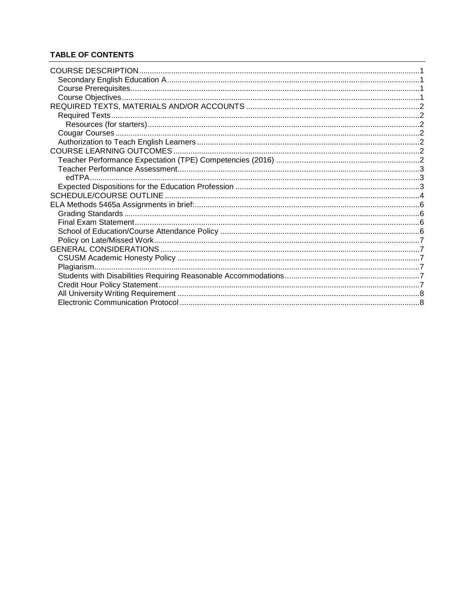# **TABLE OF CONTENTS**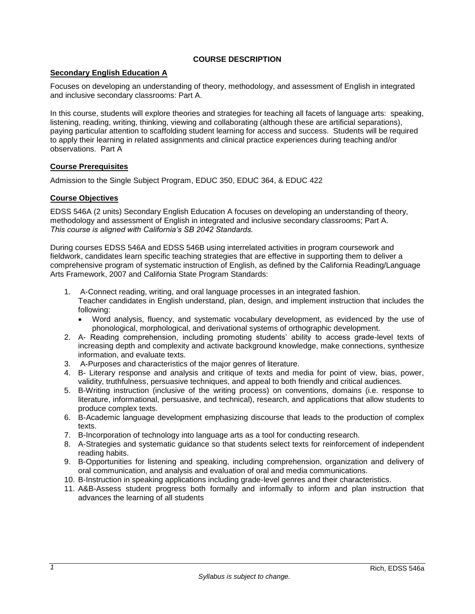# **COURSE DESCRIPTION**

### <span id="page-2-1"></span><span id="page-2-0"></span>**Secondary English Education A**

Focuses on developing an understanding of theory, methodology, and assessment of English in integrated and inclusive secondary classrooms: Part A.

In this course, students will explore theories and strategies for teaching all facets of language arts: speaking, listening, reading, writing, thinking, viewing and collaborating (although these are artificial separations), paying particular attention to scaffolding student learning for access and success. Students will be required to apply their learning in related assignments and clinical practice experiences during teaching and/or observations. Part A

#### <span id="page-2-2"></span>**Course Prerequisites**

Admission to the Single Subject Program, EDUC 350, EDUC 364, & EDUC 422

### <span id="page-2-3"></span>**Course Objectives**

EDSS 546A (2 units) Secondary English Education A focuses on developing an understanding of theory, methodology and assessment of English in integrated and inclusive secondary classrooms; Part A. *This course is aligned with California's SB 2042 Standards.* 

During courses EDSS 546A and EDSS 546B using interrelated activities in program coursework and fieldwork, candidates learn specific teaching strategies that are effective in supporting them to deliver a comprehensive program of systematic instruction of English, as defined by the California Reading/Language Arts Framework, 2007 and California State Program Standards:

- 1. A-Connect reading, writing, and oral language processes in an integrated fashion. Teacher candidates in English understand, plan, design, and implement instruction that includes the following:
	- Word analysis, fluency, and systematic vocabulary development, as evidenced by the use of phonological, morphological, and derivational systems of orthographic development.
- 2. A- Reading comprehension, including promoting students' ability to access grade-level texts of increasing depth and complexity and activate background knowledge, make connections, synthesize information, and evaluate texts.
- 3. A-Purposes and characteristics of the major genres of literature.
- 4. B- Literary response and analysis and critique of texts and media for point of view, bias, power, validity, truthfulness, persuasive techniques, and appeal to both friendly and critical audiences.
- 5. B-Writing instruction (inclusive of the writing process) on conventions, domains (i.e. response to literature, informational, persuasive, and technical), research, and applications that allow students to produce complex texts.
- 6. B-Academic language development emphasizing discourse that leads to the production of complex texts.
- 7. B-Incorporation of technology into language arts as a tool for conducting research.
- 8. A-Strategies and systematic guidance so that students select texts for reinforcement of independent reading habits.
- 9. B-Opportunities for listening and speaking, including comprehension, organization and delivery of oral communication, and analysis and evaluation of oral and media communications.
- 10. B-Instruction in speaking applications including grade-level genres and their characteristics.
- 11. A&B-Assess student progress both formally and informally to inform and plan instruction that advances the learning of all students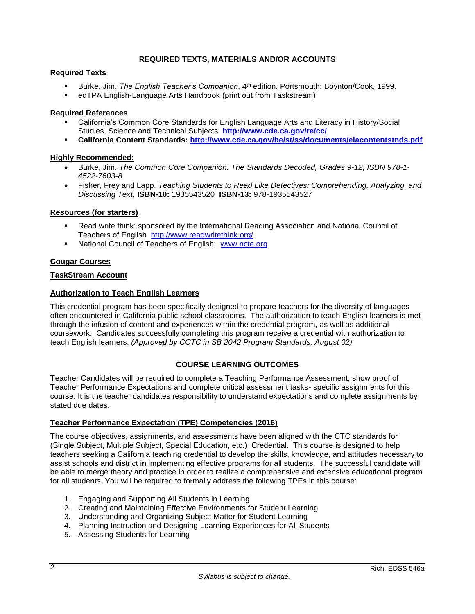# **REQUIRED TEXTS, MATERIALS AND/OR ACCOUNTS**

# <span id="page-3-1"></span><span id="page-3-0"></span>**Required Texts**

- Burke, Jim. *The English Teacher's Companion*, 4th edition. Portsmouth: Boynton/Cook, 1999.
- edTPA English-Language Arts Handbook (print out from Taskstream)

### **Required References**

- California's Common Core Standards for English Language Arts and Literacy in History/Social Studies, Science and Technical Subjects. **<http://www.cde.ca.gov/re/cc/>**
- **California Content Standards:<http://www.cde.ca.gov/be/st/ss/documents/elacontentstnds.pdf>**

### **Highly Recommended:**

- Burke, Jim. *The Common Core Companion: The Standards Decoded, Grades 9-12; ISBN 978-1- 4522-7603-8*
- Fisher, Frey and Lapp. *Teaching Students to Read Like Detectives: Comprehending, Analyzing, and Discussing Text,* **ISBN-10:** 1935543520 **ISBN-13:** 978-1935543527

### <span id="page-3-2"></span>**Resources (for starters)**

- Read write think: sponsored by the International Reading Association and National Council of Teachers of English <http://www.readwritethink.org/>
- National Council of Teachers of English: [www.ncte.org](http://www.ncte.org/)

# <span id="page-3-3"></span>**Cougar Courses**

### **TaskStream Account**

### <span id="page-3-4"></span>**Authorization to Teach English Learners**

This credential program has been specifically designed to prepare teachers for the diversity of languages often encountered in California public school classrooms. The authorization to teach English learners is met through the infusion of content and experiences within the credential program, as well as additional coursework. Candidates successfully completing this program receive a credential with authorization to teach English learners. *(Approved by CCTC in SB 2042 Program Standards, August 02)*

# **COURSE LEARNING OUTCOMES**

<span id="page-3-5"></span>Teacher Candidates will be required to complete a Teaching Performance Assessment, show proof of Teacher Performance Expectations and complete critical assessment tasks- specific assignments for this course. It is the teacher candidates responsibility to understand expectations and complete assignments by stated due dates.

#### <span id="page-3-6"></span>**Teacher Performance Expectation (TPE) Competencies (2016)**

The course objectives, assignments, and assessments have been aligned with the CTC standards for (Single Subject, Multiple Subject, Special Education, etc.) Credential. This course is designed to help teachers seeking a California teaching credential to develop the skills, knowledge, and attitudes necessary to assist schools and district in implementing effective programs for all students. The successful candidate will be able to merge theory and practice in order to realize a comprehensive and extensive educational program for all students. You will be required to formally address the following TPEs in this course:

- 1. Engaging and Supporting All Students in Learning
- 2. Creating and Maintaining Effective Environments for Student Learning
- 3. Understanding and Organizing Subject Matter for Student Learning
- 4. Planning Instruction and Designing Learning Experiences for All Students
- 5. Assessing Students for Learning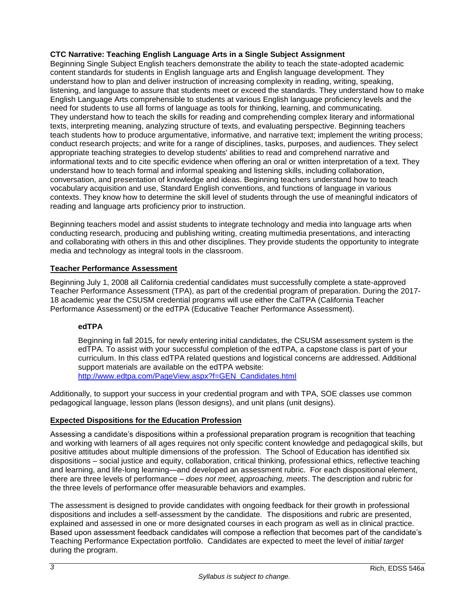# **CTC Narrative: Teaching English Language Arts in a Single Subject Assignment**

Beginning Single Subject English teachers demonstrate the ability to teach the state-adopted academic content standards for students in English language arts and English language development. They understand how to plan and deliver instruction of increasing complexity in reading, writing, speaking, listening, and language to assure that students meet or exceed the standards. They understand how to make English Language Arts comprehensible to students at various English language proficiency levels and the need for students to use all forms of language as tools for thinking, learning, and communicating. They understand how to teach the skills for reading and comprehending complex literary and informational texts, interpreting meaning, analyzing structure of texts, and evaluating perspective. Beginning teachers teach students how to produce argumentative, informative, and narrative text; implement the writing process; conduct research projects; and write for a range of disciplines, tasks, purposes, and audiences. They select appropriate teaching strategies to develop students' abilities to read and comprehend narrative and informational texts and to cite specific evidence when offering an oral or written interpretation of a text. They understand how to teach formal and informal speaking and listening skills, including collaboration, conversation, and presentation of knowledge and ideas. Beginning teachers understand how to teach vocabulary acquisition and use, Standard English conventions, and functions of language in various contexts. They know how to determine the skill level of students through the use of meaningful indicators of reading and language arts proficiency prior to instruction.

Beginning teachers model and assist students to integrate technology and media into language arts when conducting research, producing and publishing writing, creating multimedia presentations, and interacting and collaborating with others in this and other disciplines. They provide students the opportunity to integrate media and technology as integral tools in the classroom.

# <span id="page-4-0"></span>**Teacher Performance Assessment**

Beginning July 1, 2008 all California credential candidates must successfully complete a state-approved Teacher Performance Assessment (TPA), as part of the credential program of preparation. During the 2017- 18 academic year the CSUSM credential programs will use either the CalTPA (California Teacher Performance Assessment) or the edTPA (Educative Teacher Performance Assessment).

# <span id="page-4-1"></span>**edTPA**

Beginning in fall 2015, for newly entering initial candidates, the CSUSM assessment system is the edTPA. To assist with your successful completion of the edTPA, a capstone class is part of your curriculum. In this class edTPA related questions and logistical concerns are addressed. Additional support materials are available on the edTPA website: [http://www.edtpa.com/PageView.aspx?f=GEN\\_Candidates.html](http://www.edtpa.com/PageView.aspx?f=GEN_Candidates.html)

Additionally, to support your success in your credential program and with TPA, SOE classes use common pedagogical language, lesson plans (lesson designs), and unit plans (unit designs).

# <span id="page-4-2"></span>**Expected Dispositions for the Education Profession**

Assessing a candidate's dispositions within a professional preparation program is recognition that teaching and working with learners of all ages requires not only specific content knowledge and pedagogical skills, but positive attitudes about multiple dimensions of the profession. The School of Education has identified six dispositions – social justice and equity, collaboration, critical thinking, professional ethics, reflective teaching and learning, and life-long learning—and developed an assessment rubric. For each dispositional element, there are three levels of performance – *does not meet, approaching, meets*. The description and rubric for the three levels of performance offer measurable behaviors and examples.

The assessment is designed to provide candidates with ongoing feedback for their growth in professional dispositions and includes a self-assessment by the candidate. The dispositions and rubric are presented, explained and assessed in one or more designated courses in each program as well as in clinical practice. Based upon assessment feedback candidates will compose a reflection that becomes part of the candidate's Teaching Performance Expectation portfolio. Candidates are expected to meet the level of *initial target* during the program.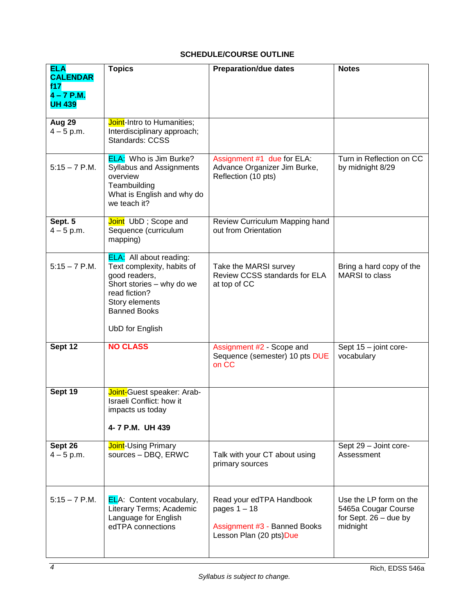# **SCHEDULE/COURSE OUTLINE**

<span id="page-5-0"></span>

| <b>ELA</b><br><b>CALENDAR</b>        | <b>Topics</b>                                                                                                                                                                           | <b>Preparation/due dates</b>                                                                          | <b>Notes</b>                                                                         |
|--------------------------------------|-----------------------------------------------------------------------------------------------------------------------------------------------------------------------------------------|-------------------------------------------------------------------------------------------------------|--------------------------------------------------------------------------------------|
| f17<br>$4 - 7$ P.M.<br><b>UH 439</b> |                                                                                                                                                                                         |                                                                                                       |                                                                                      |
| Aug 29<br>$4 - 5$ p.m.               | Joint-Intro to Humanities;<br>Interdisciplinary approach;<br>Standards: CCSS                                                                                                            |                                                                                                       |                                                                                      |
| $5:15 - 7$ P.M.                      | <b>ELA:</b> Who is Jim Burke?<br><b>Syllabus and Assignments</b><br>overview<br>Teambuilding<br>What is English and why do<br>we teach it?                                              | Assignment #1 due for ELA:<br>Advance Organizer Jim Burke,<br>Reflection (10 pts)                     | Turn in Reflection on CC<br>by midnight 8/29                                         |
| Sept. 5<br>$4 - 5$ p.m.              | Joint UbD; Scope and<br>Sequence (curriculum<br>mapping)                                                                                                                                | Review Curriculum Mapping hand<br>out from Orientation                                                |                                                                                      |
| $5:15 - 7$ P.M.                      | <b>ELA:</b> All about reading:<br>Text complexity, habits of<br>good readers,<br>Short stories - why do we<br>read fiction?<br>Story elements<br><b>Banned Books</b><br>UbD for English | Take the MARSI survey<br>Review CCSS standards for ELA<br>at top of CC                                | Bring a hard copy of the<br>MARSI to class                                           |
| Sept 12                              | <b>NO CLASS</b>                                                                                                                                                                         | Assignment #2 - Scope and<br>Sequence (semester) 10 pts DUE<br>on CC                                  | Sept 15 - joint core-<br>vocabulary                                                  |
| Sept 19                              | Joint-Guest speaker: Arab-<br>Israeli Conflict: how it<br>impacts us today<br>4-7 P.M. UH 439                                                                                           |                                                                                                       |                                                                                      |
| Sept 26<br>$4 - 5$ p.m.              | <b>Joint-Using Primary</b><br>sources - DBQ, ERWC                                                                                                                                       | Talk with your CT about using<br>primary sources                                                      | Sept 29 - Joint core-<br>Assessment                                                  |
| $5:15 - 7$ P.M.                      | <b>ELA:</b> Content vocabulary,<br>Literary Terms; Academic<br>Language for English<br>edTPA connections                                                                                | Read your edTPA Handbook<br>pages $1 - 18$<br>Assignment #3 - Banned Books<br>Lesson Plan (20 pts)Due | Use the LP form on the<br>5465a Cougar Course<br>for Sept. $26 -$ due by<br>midnight |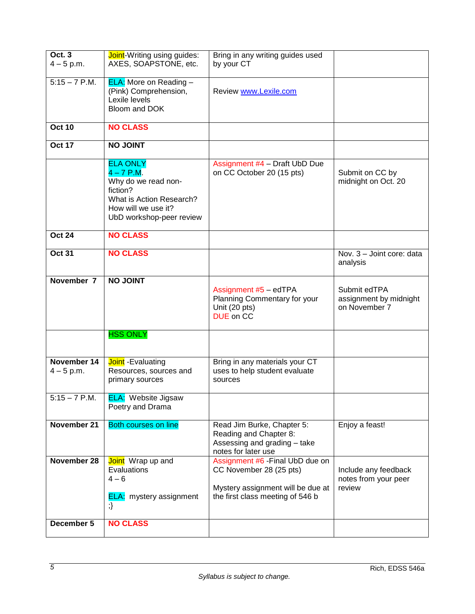| <b>Oct. 3</b><br>$4 - 5$ p.m. | Joint-Writing using guides:<br>AXES, SOAPSTONE, etc.                                                                                              | Bring in any writing guides used<br>by your CT                                                                                       |                                                         |
|-------------------------------|---------------------------------------------------------------------------------------------------------------------------------------------------|--------------------------------------------------------------------------------------------------------------------------------------|---------------------------------------------------------|
| $5:15 - 7$ P.M.               | <b>ELA:</b> More on Reading -<br>(Pink) Comprehension,<br>Lexile levels<br>Bloom and DOK                                                          | Review www.Lexile.com                                                                                                                |                                                         |
| <b>Oct 10</b>                 | <b>NO CLASS</b>                                                                                                                                   |                                                                                                                                      |                                                         |
| <b>Oct 17</b>                 | <b>THIOL ON</b>                                                                                                                                   |                                                                                                                                      |                                                         |
|                               | <b>ELA ONLY</b><br>$4 - 7$ P.M.<br>Why do we read non-<br>fiction?<br>What is Action Research?<br>How will we use it?<br>UbD workshop-peer review | Assignment #4 - Draft UbD Due<br>on CC October 20 (15 pts)                                                                           | Submit on CC by<br>midnight on Oct. 20                  |
| <b>Oct 24</b>                 | <b>NO CLASS</b>                                                                                                                                   |                                                                                                                                      |                                                         |
| <b>Oct 31</b>                 | <b>NO CLASS</b>                                                                                                                                   |                                                                                                                                      | Nov. 3 - Joint core: data<br>analysis                   |
| November 7                    | <b>NO JOINT</b>                                                                                                                                   | Assignment #5 - edTPA<br>Planning Commentary for your<br>Unit (20 pts)<br><b>DUE</b> on CC                                           | Submit edTPA<br>assignment by midnight<br>on November 7 |
|                               | <b>HSS ONLY</b>                                                                                                                                   |                                                                                                                                      |                                                         |
| November 14<br>$4 - 5$ p.m.   | Joint - Evaluating<br>Resources, sources and<br>primary sources                                                                                   | Bring in any materials your CT<br>uses to help student evaluate<br>sources                                                           |                                                         |
| $5:15 - 7$ P.M.               | <b>ELA:</b> Website Jigsaw<br>Poetry and Drama                                                                                                    |                                                                                                                                      |                                                         |
| November 21                   | <b>Both courses on line</b>                                                                                                                       | Read Jim Burke, Chapter 5:<br>Reading and Chapter 8:<br>Assessing and grading - take<br>notes for later use                          | Enjoy a feast!                                          |
| November 28                   | Joint Wrap up and<br>Evaluations<br>$4 - 6$<br><b>ELA:</b> mystery assignment                                                                     | Assignment #6 - Final UbD due on<br>CC November 28 (25 pts)<br>Mystery assignment will be due at<br>the first class meeting of 546 b | Include any feedback<br>notes from your peer<br>review  |
| December 5                    | <b>NO CLASS</b>                                                                                                                                   |                                                                                                                                      |                                                         |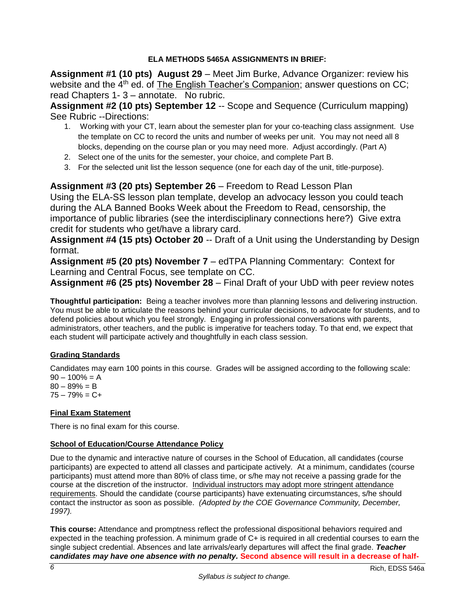# **ELA METHODS 5465A ASSIGNMENTS IN BRIEF:**

<span id="page-7-0"></span>**Assignment #1 (10 pts) August 29** – Meet Jim Burke, Advance Organizer: review his website and the  $4<sup>th</sup>$  ed. of The English Teacher's Companion; answer questions on CC; read Chapters 1- 3 – annotate. No rubric.

**Assignment #2 (10 pts) September 12** -- Scope and Sequence (Curriculum mapping) See Rubric --Directions:

- 1. Working with your CT, learn about the semester plan for your co-teaching class assignment. Use the template on CC to record the units and number of weeks per unit. You may not need all 8 blocks, depending on the course plan or you may need more. Adjust accordingly. (Part A)
- 2. Select one of the units for the semester, your choice, and complete Part B.
- 3. For the selected unit list the lesson sequence (one for each day of the unit, title-purpose).

**Assignment #3 (20 pts) September 26** – Freedom to Read Lesson Plan

Using the ELA-SS lesson plan template, develop an advocacy lesson you could teach during the ALA Banned Books Week about the Freedom to Read, censorship, the importance of public libraries (see the interdisciplinary connections here?) Give extra credit for students who get/have a library card.

**Assignment #4 (15 pts) October 20** -- Draft of a Unit using the Understanding by Design format.

**Assignment #5 (20 pts) November 7** – edTPA Planning Commentary: Context for Learning and Central Focus, see template on CC.

**Assignment #6 (25 pts) November 28** – Final Draft of your UbD with peer review notes

**Thoughtful participation:** Being a teacher involves more than planning lessons and delivering instruction. You must be able to articulate the reasons behind your curricular decisions, to advocate for students, and to defend policies about which you feel strongly. Engaging in professional conversations with parents, administrators, other teachers, and the public is imperative for teachers today. To that end, we expect that each student will participate actively and thoughtfully in each class session.

# <span id="page-7-1"></span>**Grading Standards**

Candidates may earn 100 points in this course. Grades will be assigned according to the following scale:  $90 - 100\% = A$ 

 $80 - 89\% = B$  $75 - 79\% = C +$ 

# <span id="page-7-2"></span>**Final Exam Statement**

There is no final exam for this course.

# <span id="page-7-3"></span>**School of Education/Course Attendance Policy**

Due to the dynamic and interactive nature of courses in the School of Education, all candidates (course participants) are expected to attend all classes and participate actively. At a minimum, candidates (course participants) must attend more than 80% of class time, or s/he may not receive a passing grade for the course at the discretion of the instructor. Individual instructors may adopt more stringent attendance requirements. Should the candidate (course participants) have extenuating circumstances, s/he should contact the instructor as soon as possible. *(Adopted by the COE Governance Community, December, 1997).*

**This course:** Attendance and promptness reflect the professional dispositional behaviors required and expected in the teaching profession. A minimum grade of C+ is required in all credential courses to earn the single subject credential. Absences and late arrivals/early departures will affect the final grade. *Teacher candidates may have one absence with no penalty.* **Second absence will result in a decrease of half-**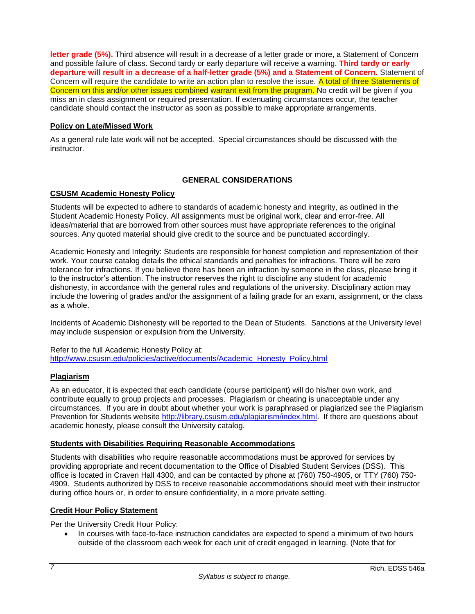**letter grade (5%).** Third absence will result in a decrease of a letter grade or more, a Statement of Concern and possible failure of class. Second tardy or early departure will receive a warning. **Third tardy or early departure will result in a decrease of a half-letter grade (5%) and a Statement of Concern.** Statement of Concern will require the candidate to write an action plan to resolve the issue. A total of three Statements of Concern on this and/or other issues combined warrant exit from the program. No credit will be given if you miss an in class assignment or required presentation. If extenuating circumstances occur, the teacher candidate should contact the instructor as soon as possible to make appropriate arrangements.

# <span id="page-8-0"></span>**Policy on Late/Missed Work**

As a general rule late work will not be accepted. Special circumstances should be discussed with the instructor.

### **GENERAL CONSIDERATIONS**

#### <span id="page-8-2"></span><span id="page-8-1"></span>**CSUSM Academic Honesty Policy**

Students will be expected to adhere to standards of academic honesty and integrity, as outlined in the Student Academic Honesty Policy. All assignments must be original work, clear and error-free. All ideas/material that are borrowed from other sources must have appropriate references to the original sources. Any quoted material should give credit to the source and be punctuated accordingly.

Academic Honesty and Integrity: Students are responsible for honest completion and representation of their work. Your course catalog details the ethical standards and penalties for infractions. There will be zero tolerance for infractions. If you believe there has been an infraction by someone in the class, please bring it to the instructor's attention. The instructor reserves the right to discipline any student for academic dishonesty, in accordance with the general rules and regulations of the university. Disciplinary action may include the lowering of grades and/or the assignment of a failing grade for an exam, assignment, or the class as a whole.

Incidents of Academic Dishonesty will be reported to the Dean of Students. Sanctions at the University level may include suspension or expulsion from the University.

Refer to the full Academic Honesty Policy at: [http://www.csusm.edu/policies/active/documents/Academic\\_Honesty\\_Policy.html](http://www.csusm.edu/policies/active/documents/Academic_Honesty_Policy.html)

#### <span id="page-8-3"></span>**Plagiarism**

As an educator, it is expected that each candidate (course participant) will do his/her own work, and contribute equally to group projects and processes. Plagiarism or cheating is unacceptable under any circumstances. If you are in doubt about whether your work is paraphrased or plagiarized see the Plagiarism Prevention for Students website [http://library.csusm.edu/plagiarism/index.html.](http://library.csusm.edu/plagiarism/index.html) If there are questions about academic honesty, please consult the University catalog.

#### <span id="page-8-4"></span>**Students with Disabilities Requiring Reasonable Accommodations**

Students with disabilities who require reasonable accommodations must be approved for services by providing appropriate and recent documentation to the Office of Disabled Student Services (DSS). This office is located in Craven Hall 4300, and can be contacted by phone at (760) 750-4905, or TTY (760) 750- 4909. Students authorized by DSS to receive reasonable accommodations should meet with their instructor during office hours or, in order to ensure confidentiality, in a more private setting.

# <span id="page-8-5"></span>**Credit Hour Policy Statement**

Per the University Credit Hour Policy:

• In courses with face-to-face instruction candidates are expected to spend a minimum of two hours outside of the classroom each week for each unit of credit engaged in learning. (Note that for